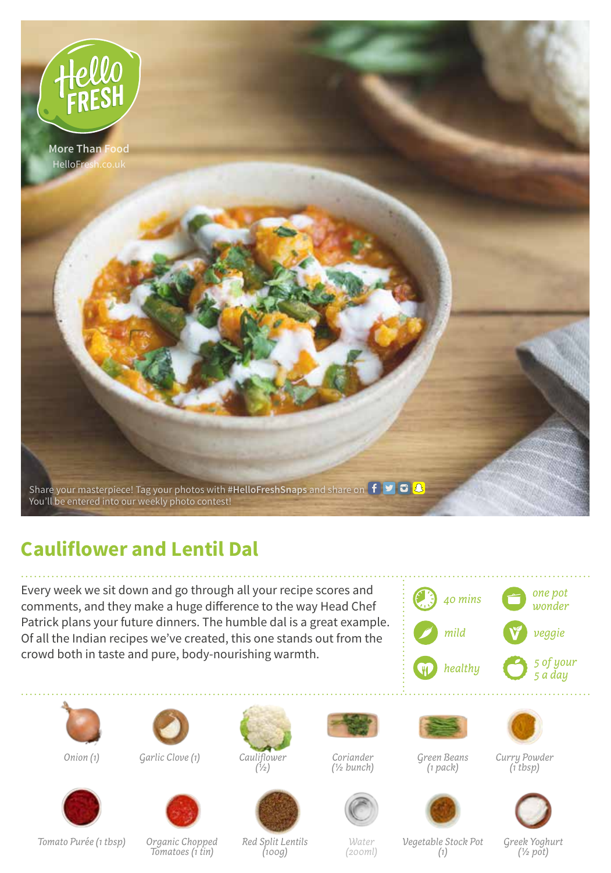

## **Cauliflower and Lentil Dal**

Every week we sit down and go through all your recipe scores and comments, and they make a huge difference to the way Head Chef Patrick plans your future dinners. The humble dal is a great example. Of all the Indian recipes we've created, this one stands out from the crowd both in taste and pure, body-nourishing warmth.





*Onion (1)*



*Garlic Clove (1)*



*Cauliflower (1/2)*

*Coriander (1/2 bunch)*

*Green Beans*

*(1 pack)*



*Curry Powder (1 tbsp)*



*Organic Chopped Tomatoes (1 tin)*



*Red Split Lentils (100g)*

*Water (200ml)*

*Vegetable Stock Pot (1)*

*Greek Yoghurt (1/2 pot)*

*Tomato Purée (1 tbsp)*